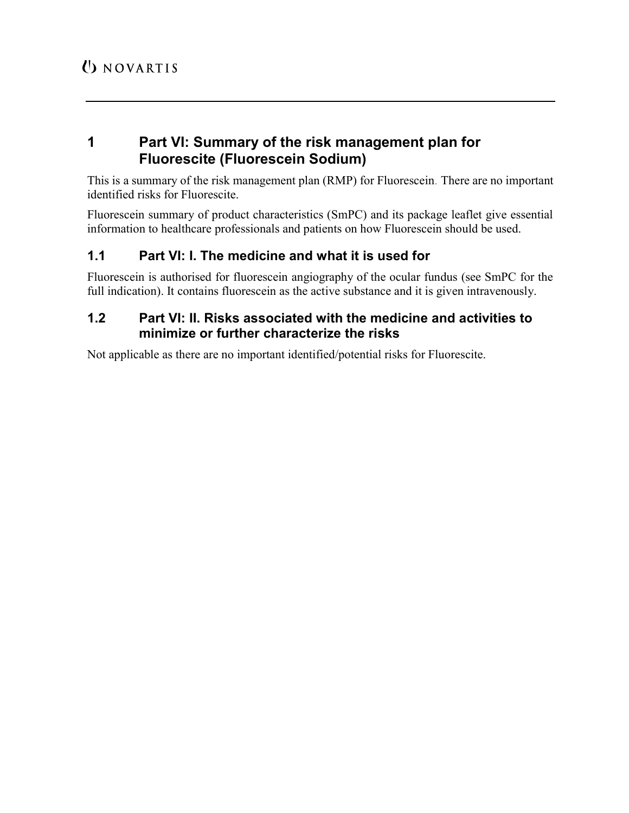# 1 Part VI: Summary of the risk management plan for Fluorescite (Fluorescein Sodium)

This is a summary of the risk management plan (RMP) for Fluorescein. There are no important identified risks for Fluorescite.

Fluorescein summary of product characteristics (SmPC) and its package leaflet give essential information to healthcare professionals and patients on how Fluorescein should be used.

# 1.1 Part VI: I. The medicine and what it is used for

Fluorescein is authorised for fluorescein angiography of the ocular fundus (see SmPC for the full indication). It contains fluorescein as the active substance and it is given intravenously.

## 1.2 Part VI: II. Risks associated with the medicine and activities to minimize or further characterize the risks

Not applicable as there are no important identified/potential risks for Fluorescite.